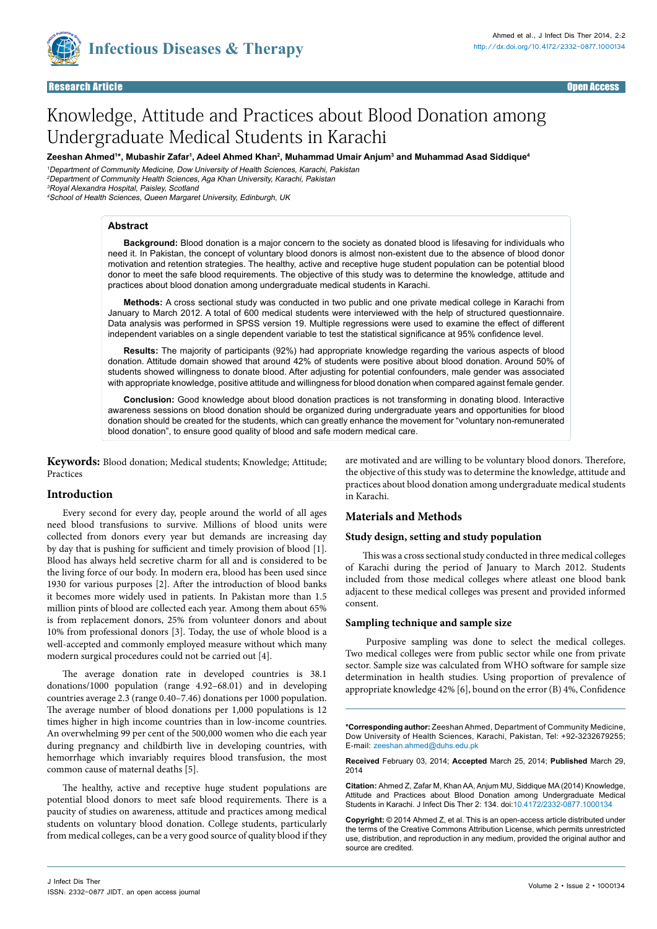

# Knowledge, Attitude and Practices about Blood Donation among Undergraduate Medical Students in Karachi

Zeeshan Ahmed<sup>1</sup>\*, Mubashir Zafar<sup>ı</sup>, Adeel Ahmed Khan<sup>2</sup>, Muhammad Umair Anjum<sup>3</sup> and Muhammad Asad Siddique<sup>4</sup>

<sup>1</sup>Department of Community Medicine, Dow University of Health Sciences, Karachi, Pakistan <sup>2</sup>Department of Community Health Sciences, Aga Khan University, Karachi, Pakistan <sup>3</sup>Royal Alexandra Hospital, Paisley, Scotland

<sup>4</sup>School of Health Sciences, Queen Margaret University, Edinburgh, UK

#### **Abstract**

**Background:** Blood donation is a major concern to the society as donated blood is lifesaving for individuals who need it. In Pakistan, the concept of voluntary blood donors is almost non-existent due to the absence of blood donor motivation and retention strategies. The healthy, active and receptive huge student population can be potential blood donor to meet the safe blood requirements. The objective of this study was to determine the knowledge, attitude and practices about blood donation among undergraduate medical students in Karachi.

**Methods:** A cross sectional study was conducted in two public and one private medical college in Karachi from January to March 2012. A total of 600 medical students were interviewed with the help of structured questionnaire. Data analysis was performed in SPSS version 19. Multiple regressions were used to examine the effect of different independent variables on a single dependent variable to test the statistical significance at 95% confidence level.

**Results:** The majority of participants (92%) had appropriate knowledge regarding the various aspects of blood donation. Attitude domain showed that around 42% of students were positive about blood donation. Around 50% of students showed willingness to donate blood. After adjusting for potential confounders, male gender was associated with appropriate knowledge, positive attitude and willingness for blood donation when compared against female gender.

**Conclusion:** Good knowledge about blood donation practices is not transforming in donating blood. Interactive awareness sessions on blood donation should be organized during undergraduate years and opportunities for blood donation should be created for the students, which can greatly enhance the movement for "voluntary non-remunerated blood donation", to ensure good quality of blood and safe modern medical care.

**Keywords:** Blood donation; Medical students; Knowledge; Attitude; Practices

## **Introduction**

Every second for every day, people around the world of all ages need blood transfusions to survive. Millions of blood units were collected from donors every year but demands are increasing day by day that is pushing for sufficient and timely provision of blood [1]. Blood has always held secretive charm for all and is considered to be the living force of our body. In modern era, blood has been used since 1930 for various purposes [2]. After the introduction of blood banks it becomes more widely used in patients. In Pakistan more than 1.5 million pints of blood are collected each year. Among them about 65% is from replacement donors, 25% from volunteer donors and about 10% from professional donors [3]. Today, the use of whole blood is a well-accepted and commonly employed measure without which many modern surgical procedures could not be carried out [4].

The average donation rate in developed countries is 38.1 donations/1000 population (range 4.92–68.01) and in developing countries average 2.3 (range 0.40–7.46) donations per 1000 population. The average number of blood donations per 1,000 populations is 12 times higher in high income countries than in low-income countries. An overwhelming 99 per cent of the 500,000 women who die each year during pregnancy and childbirth live in developing countries, with hemorrhage which invariably requires blood transfusion, the most common cause of maternal deaths [5].

The healthy, active and receptive huge student populations are potential blood donors to meet safe blood requirements. There is a paucity of studies on awareness, attitude and practices among medical students on voluntary blood donation. College students, particularly from medical colleges, can be a very good source of quality blood if they

are motivated and are willing to be voluntary blood donors. Therefore, the objective of this study was to determine the knowledge, attitude and practices about blood donation among undergraduate medical students in Karachi.

## **Materials and Methods**

#### **Study design, setting and study population**

This was a cross sectional study conducted in three medical colleges of Karachi during the period of January to March 2012. Students included from those medical colleges where atleast one blood bank adjacent to these medical colleges was present and provided informed consent.

#### **Sampling technique and sample size**

Purposive sampling was done to select the medical colleges. Two medical colleges were from public sector while one from private sector. Sample size was calculated from WHO software for sample size determination in health studies. Using proportion of prevalence of appropriate knowledge 42% [6], bound on the error (B) 4%, Confidence

**\*Corresponding author:** Zeeshan Ahmed, Department of Community Medicine, Dow University of Health Sciences, Karachi, Pakistan, Tel: +92-3232679255; E-mail: zeeshan.ahmed@duhs.edu.pk

**Received** February 03, 2014; **Accepted** March 25, 2014; **Published** March 29, 2014

**Citation:** Ahmed Z, Zafar M, Khan AA, Anjum MU, Siddique MA (2014) Knowledge, Attitude and Practices about Blood Donation among Undergraduate Medical Students in Karachi. J Infect Dis Ther 2: 134. doi[:10.4172/2332-0877.1000](http://dx.doi.org/10.4172/2332-0877.1000134)134

**Copyright:** © 2014 Ahmed Z, et al. This is an open-access article distributed under the terms of the Creative Commons Attribution License, which permits unrestricted use, distribution, and reproduction in any medium, provided the original author and source are credited.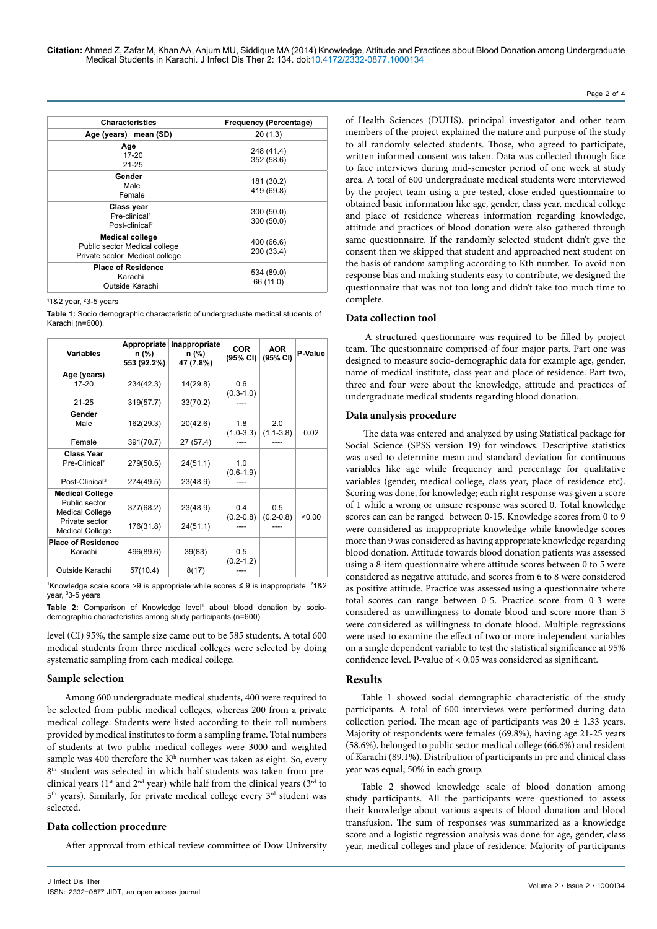| <b>Characteristics</b>                                                                    | Frequency (Percentage)   |
|-------------------------------------------------------------------------------------------|--------------------------|
| Age (years) mean (SD)                                                                     | 20(1.3)                  |
| Age<br>$17 - 20$<br>$21 - 25$                                                             | 248 (41.4)<br>352 (58.6) |
| Gender<br>Male<br>Female                                                                  | 181 (30.2)<br>419 (69.8) |
| Class year<br>Pre-clinical <sup>1</sup><br>Post-clinical <sup>2</sup>                     | 300(50.0)<br>300(50.0)   |
| <b>Medical college</b><br>Public sector Medical college<br>Private sector Medical college | 400 (66.6)<br>200 (33.4) |
| <b>Place of Residence</b><br>Karachi<br>Outside Karachi                                   | 534 (89.0)<br>66 (11.0)  |

1 1&2 year, 2 3-5 years

**Table 1:** Socio demographic characteristic of undergraduate medical students of Karachi (n=600).

| <b>Variables</b>                                                                                              | Appropriate<br>n (%)<br>553 (92.2%) | Inappropriate<br>n (%)<br>47 (7.8%) | <b>COR</b><br>(95% CI) | <b>AOR</b><br>(95% CI) | P-Value |
|---------------------------------------------------------------------------------------------------------------|-------------------------------------|-------------------------------------|------------------------|------------------------|---------|
| Age (years)<br>$17 - 20$<br>$21 - 25$                                                                         | 234(42.3)<br>319(57.7)              | 14(29.8)<br>33(70.2)                | 0.6<br>$(0.3 - 1.0)$   |                        |         |
| Gender<br>Male<br>Female                                                                                      | 162(29.3)<br>391(70.7)              | 20(42.6)<br>27 (57.4)               | 1.8<br>$(1.0-3.3)$     | 2.0<br>$(1.1 - 3.8)$   | 0.02    |
| <b>Class Year</b><br>Pre-Clinical <sup>2</sup><br>Post-Clinical <sup>3</sup>                                  | 279(50.5)<br>274(49.5)              | 24(51.1)<br>23(48.9)                | 1.0<br>$(0.6-1.9)$     |                        |         |
| <b>Medical College</b><br>Public sector<br><b>Medical College</b><br>Private sector<br><b>Medical College</b> | 377(68.2)<br>176(31.8)              | 23(48.9)<br>24(51.1)                | 0.4<br>$(0.2 - 0.8)$   | 0.5<br>$(0.2 - 0.8)$   | < 0.00  |
| <b>Place of Residence</b><br>Karachi<br>Outside Karachi                                                       | 496(89.6)<br>57(10.4)               | 39(83)<br>8(17)                     | 0.5<br>$(0.2 - 1.2)$   |                        |         |

<sup>1</sup>Knowledge scale score >9 is appropriate while scores ≤ 9 is inappropriate,  $2$ 1&2 year, 3 3-5 years

Table 2: Comparison of Knowledge level<sup>1</sup> about blood donation by sociodemographic characteristics among study participants (n=600)

level (CI) 95%, the sample size came out to be 585 students. A total 600 medical students from three medical colleges were selected by doing systematic sampling from each medical college.

## **Sample selection**

Among 600 undergraduate medical students, 400 were required to be selected from public medical colleges, whereas 200 from a private medical college. Students were listed according to their roll numbers provided by medical institutes to form a sampling frame. Total numbers of students at two public medical colleges were 3000 and weighted sample was 400 therefore the K<sup>th</sup> number was taken as eight. So, every 8<sup>th</sup> student was selected in which half students was taken from preclinical years ( $1<sup>st</sup>$  and  $2<sup>nd</sup>$  year) while half from the clinical years ( $3<sup>rd</sup>$  to  $5<sup>th</sup>$  years). Similarly, for private medical college every  $3<sup>rd</sup>$  student was selected.

# **Data collection procedure**

After approval from ethical review committee of Dow University

of Health Sciences (DUHS), principal investigator and other team members of the project explained the nature and purpose of the study to all randomly selected students. Those, who agreed to participate, written informed consent was taken. Data was collected through face to face interviews during mid-semester period of one week at study area. A total of 600 undergraduate medical students were interviewed by the project team using a pre-tested, close-ended questionnaire to obtained basic information like age, gender, class year, medical college and place of residence whereas information regarding knowledge, attitude and practices of blood donation were also gathered through same questionnaire. If the randomly selected student didn't give the consent then we skipped that student and approached next student on the basis of random sampling according to Kth number. To avoid non response bias and making students easy to contribute, we designed the questionnaire that was not too long and didn't take too much time to complete.

Page 2 of 4

# **Data collection tool**

A structured questionnaire was required to be filled by project team. The questionnaire comprised of four major parts. Part one was designed to measure socio-demographic data for example age, gender, name of medical institute, class year and place of residence. Part two, three and four were about the knowledge, attitude and practices of undergraduate medical students regarding blood donation.

# **Data analysis procedure**

The data was entered and analyzed by using Statistical package for Social Science (SPSS version 19) for windows. Descriptive statistics was used to determine mean and standard deviation for continuous variables like age while frequency and percentage for qualitative variables (gender, medical college, class year, place of residence etc). Scoring was done, for knowledge; each right response was given a score of 1 while a wrong or unsure response was scored 0. Total knowledge scores can can be ranged between 0-15. Knowledge scores from 0 to 9 were considered as inappropriate knowledge while knowledge scores more than 9 was considered as having appropriate knowledge regarding blood donation. Attitude towards blood donation patients was assessed using a 8-item questionnaire where attitude scores between 0 to 5 were considered as negative attitude, and scores from 6 to 8 were considered as positive attitude. Practice was assessed using a questionnaire where total scores can range between 0-5. Practice score from 0-3 were considered as unwillingness to donate blood and score more than 3 were considered as willingness to donate blood. Multiple regressions were used to examine the effect of two or more independent variables on a single dependent variable to test the statistical significance at 95% confidence level. P-value of < 0.05 was considered as significant.

# **Results**

Table 1 showed social demographic characteristic of the study participants. A total of 600 interviews were performed during data collection period. The mean age of participants was  $20 \pm 1.33$  years. Majority of respondents were females (69.8%), having age 21-25 years (58.6%), belonged to public sector medical college (66.6%) and resident of Karachi (89.1%). Distribution of participants in pre and clinical class year was equal; 50% in each group.

Table 2 showed knowledge scale of blood donation among study participants. All the participants were questioned to assess their knowledge about various aspects of blood donation and blood transfusion. The sum of responses was summarized as a knowledge score and a logistic regression analysis was done for age, gender, class year, medical colleges and place of residence. Majority of participants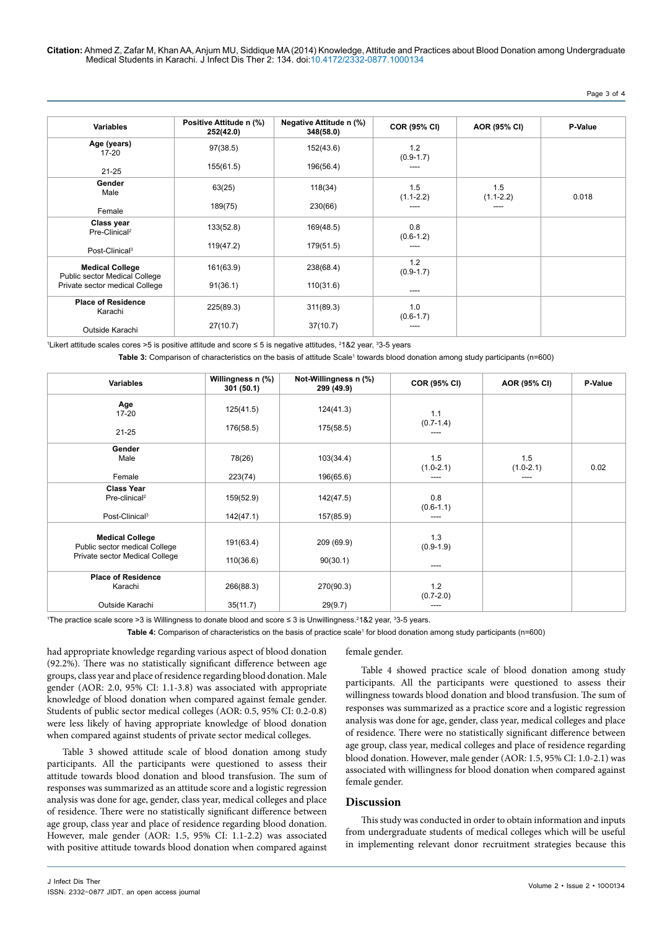**Citation:** Ahmed Z, Zafar M, Khan AA, Anjum MU, Siddique MA (2014) Knowledge, Attitude and Practices about Blood Donation among Undergraduate Medical Students in Karachi. J Infect Dis Ther 2: 134. doi[:10.4172/2332-0877.10001](http://dx.doi.org/10.4172/2332-0877.1000133)34

# Page 3 of 4

| <b>Variables</b>                                        | Positive Attitude n (%)<br>252(42.0) | Negative Attitude n (%)<br>348(58.0) | <b>COR (95% CI)</b>  | AOR (95% CI)         | P-Value |
|---------------------------------------------------------|--------------------------------------|--------------------------------------|----------------------|----------------------|---------|
| Age (years)<br>$17 - 20$                                | 97(38.5)                             | 152(43.6)                            | 1.2<br>$(0.9-1.7)$   |                      |         |
| $21 - 25$                                               | 155(61.5)                            | 196(56.4)                            | ----                 |                      |         |
| Gender<br>Male                                          | 63(25)                               | 118(34)                              | 1.5<br>$(1.1 - 2.2)$ | 1.5<br>$(1.1 - 2.2)$ | 0.018   |
| Female                                                  | 189(75)                              | 230(66)                              | ----                 | ----                 |         |
| Class year<br>Pre-Clinical <sup>2</sup>                 | 133(52.8)                            | 169(48.5)                            | 0.8<br>$(0.6-1.2)$   |                      |         |
| Post-Clinical <sup>3</sup>                              | 119(47.2)                            | 179(51.5)                            | ----                 |                      |         |
| <b>Medical College</b><br>Public sector Medical College | 161(63.9)                            | 238(68.4)                            | 1.2<br>$(0.9-1.7)$   |                      |         |
| Private sector medical College                          | 91(36.1)                             | 110(31.6)                            | ----                 |                      |         |
| <b>Place of Residence</b><br>Karachi                    | 225(89.3)                            | 311(89.3)                            | 1.0<br>$(0.6 - 1.7)$ |                      |         |
| Outside Karachi                                         | 27(10.7)                             | 37(10.7)                             | ---                  |                      |         |

<sup>1</sup>Likert attitude scales cores >5 is positive attitude and score ≤ 5 is negative attitudes, <sup>2</sup>1&2 year, <sup>3</sup>3-5 years

Table 3: Comparison of characteristics on the basis of attitude Scale<sup>1</sup> towards blood donation among study participants (n=600)

| <b>Variables</b>                                                             | Willingness n (%)<br>301(50.1) | Not-Willingness n (%)<br>299 (49.9) | COR (95% CI)                 | AOR (95% CI)         | P-Value |
|------------------------------------------------------------------------------|--------------------------------|-------------------------------------|------------------------------|----------------------|---------|
| Age<br>$17 - 20$                                                             | 125(41.5)                      | 124(41.3)                           | 1.1                          |                      |         |
| $21 - 25$                                                                    | 176(58.5)                      | 175(58.5)                           | $(0.7 - 1.4)$                |                      |         |
| Gender<br>Male                                                               | 78(26)                         | 103(34.4)                           | 1.5<br>$(1.0 - 2.1)$<br>---- | 1.5<br>$(1.0 - 2.1)$ | 0.02    |
| Female                                                                       | 223(74)                        | 196(65.6)                           |                              |                      |         |
| <b>Class Year</b><br>Pre-clinical <sup>2</sup><br>Post-Clinical <sup>3</sup> | 159(52.9)<br>142(47.1)         | 142(47.5)<br>157(85.9)              | 0.8<br>$(0.6 - 1.1)$<br>---- |                      |         |
|                                                                              |                                |                                     |                              |                      |         |
| <b>Medical College</b><br>Public sector medical College                      | 191(63.4)                      | 209 (69.9)                          | 1.3<br>$(0.9-1.9)$           |                      |         |
| Private sector Medical College                                               | 110(36.6)                      | 90(30.1)                            | $---$                        |                      |         |
| <b>Place of Residence</b><br>Karachi                                         | 266(88.3)                      | 270(90.3)                           | 1.2<br>$(0.7 - 2.0)$         |                      |         |
| Outside Karachi                                                              | 35(11.7)                       | 29(9.7)                             | ----                         |                      |         |

1 The practice scale score >3 is Willingness to donate blood and score ≤ 3 is Unwillingness.<sup>2</sup> 1&2 year, 3 3-5 years.

Table 4: Comparison of characteristics on the basis of practice scale<sup>1</sup> for blood donation among study participants (n=600)

had appropriate knowledge regarding various aspect of blood donation (92.2%). There was no statistically significant difference between age groups, class year and place of residence regarding blood donation. Male gender (AOR: 2.0, 95% CI: 1.1-3.8) was associated with appropriate knowledge of blood donation when compared against female gender. Students of public sector medical colleges (AOR: 0.5, 95% CI: 0.2-0.8) were less likely of having appropriate knowledge of blood donation when compared against students of private sector medical colleges.

Table 3 showed attitude scale of blood donation among study participants. All the participants were questioned to assess their attitude towards blood donation and blood transfusion. The sum of responses was summarized as an attitude score and a logistic regression analysis was done for age, gender, class year, medical colleges and place of residence. There were no statistically significant difference between age group, class year and place of residence regarding blood donation. However, male gender (AOR: 1.5, 95% CI: 1.1-2.2) was associated with positive attitude towards blood donation when compared against

#### female gender.

Table 4 showed practice scale of blood donation among study participants. All the participants were questioned to assess their willingness towards blood donation and blood transfusion. The sum of responses was summarized as a practice score and a logistic regression analysis was done for age, gender, class year, medical colleges and place of residence. There were no statistically significant difference between age group, class year, medical colleges and place of residence regarding blood donation. However, male gender (AOR: 1.5, 95% CI: 1.0-2.1) was associated with willingness for blood donation when compared against female gender.

# **Discussion**

This study was conducted in order to obtain information and inputs from undergraduate students of medical colleges which will be useful in implementing relevant donor recruitment strategies because this